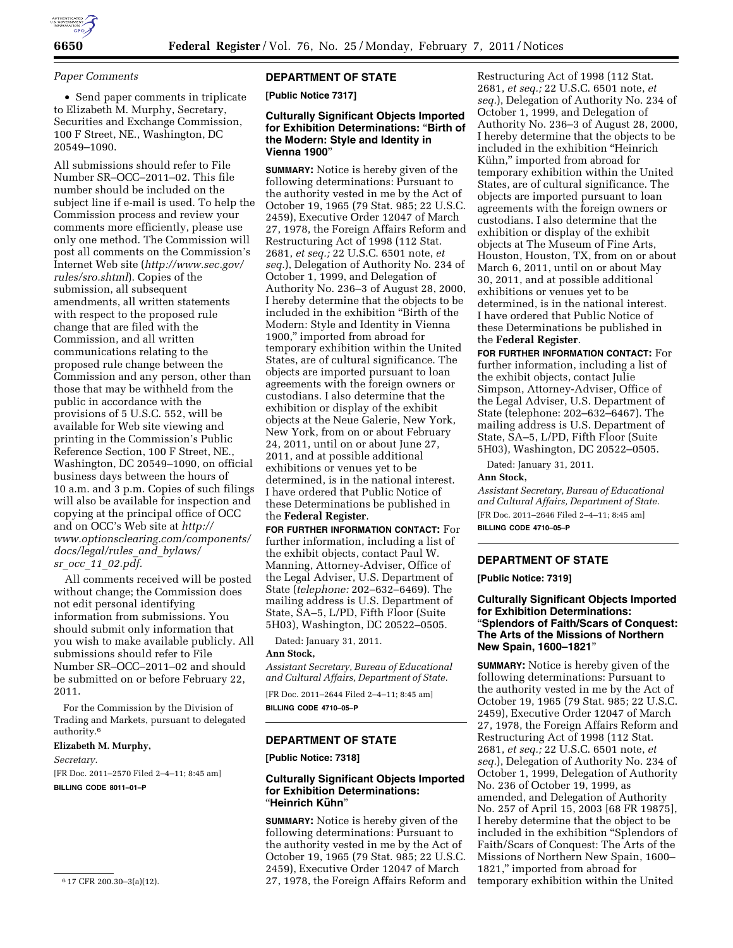

## *Paper Comments*

• Send paper comments in triplicate to Elizabeth M. Murphy, Secretary, Securities and Exchange Commission, 100 F Street, NE., Washington, DC 20549–1090.

All submissions should refer to File Number SR–OCC–2011–02. This file number should be included on the subject line if e-mail is used. To help the Commission process and review your comments more efficiently, please use only one method. The Commission will post all comments on the Commission's Internet Web site (*[http://www.sec.gov/](http://www.sec.gov/rules/sro.shtml)  [rules/sro.shtml](http://www.sec.gov/rules/sro.shtml)*). Copies of the submission, all subsequent amendments, all written statements with respect to the proposed rule change that are filed with the Commission, and all written communications relating to the proposed rule change between the Commission and any person, other than those that may be withheld from the public in accordance with the provisions of 5 U.S.C. 552, will be available for Web site viewing and printing in the Commission's Public Reference Section, 100 F Street, NE., Washington, DC 20549–1090, on official business days between the hours of 10 a.m. and 3 p.m. Copies of such filings will also be available for inspection and copying at the principal office of OCC and on OCC's Web site at *[http://](http://www.optionsclearing.com/components/docs/legal/rules_and_bylaws/sr_occ_11_02.pdf) [www.optionsclearing.com/components/](http://www.optionsclearing.com/components/docs/legal/rules_and_bylaws/sr_occ_11_02.pdf)  [docs/legal/rules](http://www.optionsclearing.com/components/docs/legal/rules_and_bylaws/sr_occ_11_02.pdf)*\_*and*\_*bylaws/ sr*\_*occ*\_*11*\_*[02.pdf.](http://www.optionsclearing.com/components/docs/legal/rules_and_bylaws/sr_occ_11_02.pdf)* 

All comments received will be posted without change; the Commission does not edit personal identifying information from submissions. You should submit only information that you wish to make available publicly. All submissions should refer to File Number SR–OCC–2011–02 and should be submitted on or before February 22, 2011.

For the Commission by the Division of Trading and Markets, pursuant to delegated authority.6

# **Elizabeth M. Murphy,**

*Secretary.* 

[FR Doc. 2011–2570 Filed 2–4–11; 8:45 am]

**BILLING CODE 8011–01–P** 

# **DEPARTMENT OF STATE**

**[Public Notice 7317]** 

# **Culturally Significant Objects Imported for Exhibition Determinations:** ''**Birth of the Modern: Style and Identity in Vienna 1900**''

**SUMMARY:** Notice is hereby given of the following determinations: Pursuant to the authority vested in me by the Act of October 19, 1965 (79 Stat. 985; 22 U.S.C. 2459), Executive Order 12047 of March 27, 1978, the Foreign Affairs Reform and Restructuring Act of 1998 (112 Stat. 2681, *et seq.;* 22 U.S.C. 6501 note, *et seq.*), Delegation of Authority No. 234 of October 1, 1999, and Delegation of Authority No. 236–3 of August 28, 2000, I hereby determine that the objects to be included in the exhibition ''Birth of the Modern: Style and Identity in Vienna 1900,'' imported from abroad for temporary exhibition within the United States, are of cultural significance. The objects are imported pursuant to loan agreements with the foreign owners or custodians. I also determine that the exhibition or display of the exhibit objects at the Neue Galerie, New York, New York, from on or about February 24, 2011, until on or about June 27, 2011, and at possible additional exhibitions or venues yet to be determined, is in the national interest. I have ordered that Public Notice of these Determinations be published in the **Federal Register**.

**FOR FURTHER INFORMATION CONTACT:** For further information, including a list of the exhibit objects, contact Paul W. Manning, Attorney-Adviser, Office of the Legal Adviser, U.S. Department of State (*telephone:* 202–632–6469). The mailing address is U.S. Department of State, SA–5, L/PD, Fifth Floor (Suite 5H03), Washington, DC 20522–0505.

Dated: January 31, 2011.

#### **Ann Stock,**

*Assistant Secretary, Bureau of Educational and Cultural Affairs, Department of State.* 

[FR Doc. 2011–2644 Filed 2–4–11; 8:45 am] **BILLING CODE 4710–05–P** 

# **DEPARTMENT OF STATE**

**[Public Notice: 7318]** 

### **Culturally Significant Objects Imported for Exhibition Determinations:**  ''**Heinrich Ku¨hn**''

**SUMMARY:** Notice is hereby given of the following determinations: Pursuant to the authority vested in me by the Act of October 19, 1965 (79 Stat. 985; 22 U.S.C. 2459), Executive Order 12047 of March 27, 1978, the Foreign Affairs Reform and

Restructuring Act of 1998 (112 Stat. 2681, *et seq.;* 22 U.S.C. 6501 note, *et seq.*), Delegation of Authority No. 234 of October 1, 1999, and Delegation of Authority No. 236–3 of August 28, 2000, I hereby determine that the objects to be included in the exhibition ''Heinrich Kühn," imported from abroad for temporary exhibition within the United States, are of cultural significance. The objects are imported pursuant to loan agreements with the foreign owners or custodians. I also determine that the exhibition or display of the exhibit objects at The Museum of Fine Arts, Houston, Houston, TX, from on or about March 6, 2011, until on or about May 30, 2011, and at possible additional exhibitions or venues yet to be determined, is in the national interest. I have ordered that Public Notice of these Determinations be published in the **Federal Register**.

**FOR FURTHER INFORMATION CONTACT:** For further information, including a list of the exhibit objects, contact Julie Simpson, Attorney-Adviser, Office of the Legal Adviser, U.S. Department of State (telephone: 202–632–6467). The mailing address is U.S. Department of State, SA–5, L/PD, Fifth Floor (Suite 5H03), Washington, DC 20522–0505.

Dated: January 31, 2011.

# **Ann Stock,**

*Assistant Secretary, Bureau of Educational and Cultural Affairs, Department of State.*  [FR Doc. 2011–2646 Filed 2–4–11; 8:45 am] **BILLING CODE 4710–05–P** 

# **DEPARTMENT OF STATE**

**[Public Notice: 7319]** 

# **Culturally Significant Objects Imported for Exhibition Determinations:**  ''**Splendors of Faith/Scars of Conquest: The Arts of the Missions of Northern New Spain, 1600–1821**''

**SUMMARY:** Notice is hereby given of the following determinations: Pursuant to the authority vested in me by the Act of October 19, 1965 (79 Stat. 985; 22 U.S.C. 2459), Executive Order 12047 of March 27, 1978, the Foreign Affairs Reform and Restructuring Act of 1998 (112 Stat. 2681, *et seq.;* 22 U.S.C. 6501 note, *et seq.*), Delegation of Authority No. 234 of October 1, 1999, Delegation of Authority No. 236 of October 19, 1999, as amended, and Delegation of Authority No. 257 of April 15, 2003 [68 FR 19875], I hereby determine that the object to be included in the exhibition ''Splendors of Faith/Scars of Conquest: The Arts of the Missions of Northern New Spain, 1600– 1821,'' imported from abroad for temporary exhibition within the United

<sup>6</sup> 17 CFR 200.30–3(a)(12).